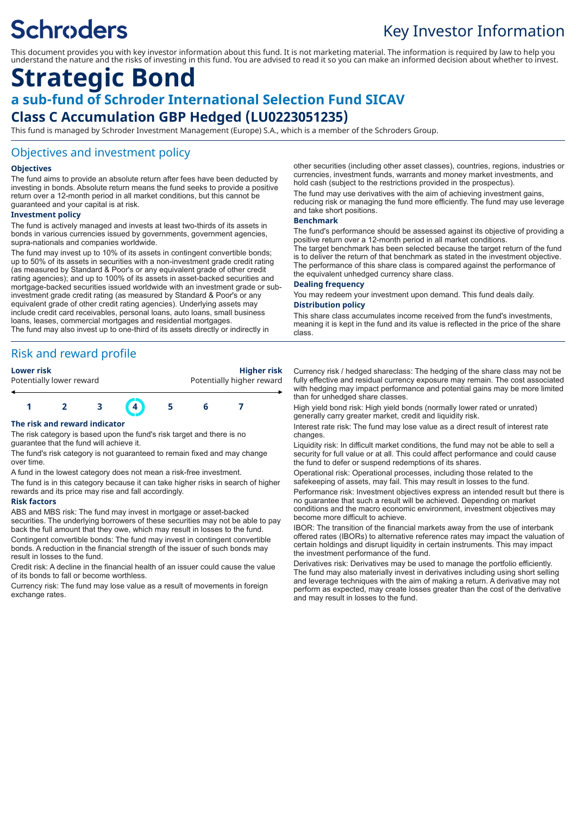# **Schroders**

# Key Investor Information

This document provides you with key investor information about this fund. It is not marketing material. The information is required by law to help you understand the nature and the risks of investing in this fund. You are advised to read it so you can make an informed decision about whether to invest.

# **Strategic Bond**

# **a sub-fund of Schroder International Selection Fund SICAV Class C Accumulation GBP Hedged (LU0223051235)**

This fund is managed by Schroder Investment Management (Europe) S.A., which is a member of the Schroders Group.

### Objectives and investment policy

#### **Objectives**

The fund aims to provide an absolute return after fees have been deducted by investing in bonds. Absolute return means the fund seeks to provide a positive return over a 12-month period in all market conditions, but this cannot be guaranteed and your capital is at risk.

#### **Investment policy**

The fund is actively managed and invests at least two-thirds of its assets in bonds in various currencies issued by governments, government agencies, supra-nationals and companies worldwide.

The fund may invest up to 10% of its assets in contingent convertible bonds; up to 50% of its assets in securities with a non-investment grade credit rating (as measured by Standard & Poor's or any equivalent grade of other credit rating agencies); and up to 100% of its assets in asset-backed securities and mortgage-backed securities issued worldwide with an investment grade or subinvestment grade credit rating (as measured by Standard & Poor's or any equivalent grade of other credit rating agencies). Underlying assets may include credit card receivables, personal loans, auto loans, small business loans, leases, commercial mortgages and residential mortgages. The fund may also invest up to one-third of its assets directly or indirectly in

#### Risk and reward profile

**Lower risk Higher risk** Potentially lower reward example and protentially higher reward



#### **The risk and reward indicator**

The risk category is based upon the fund's risk target and there is no guarantee that the fund will achieve it.

The fund's risk category is not guaranteed to remain fixed and may change over time.

A fund in the lowest category does not mean a risk-free investment.

The fund is in this category because it can take higher risks in search of higher rewards and its price may rise and fall accordingly.

#### **Risk factors**

ABS and MBS risk: The fund may invest in mortgage or asset-backed securities. The underlying borrowers of these securities may not be able to pay back the full amount that they owe, which may result in losses to the fund. Contingent convertible bonds: The fund may invest in contingent convertible bonds. A reduction in the financial strength of the issuer of such bonds may result in losses to the fund.

Credit risk: A decline in the financial health of an issuer could cause the value of its bonds to fall or become worthless.

Currency risk: The fund may lose value as a result of movements in foreign exchange rates.

other securities (including other asset classes), countries, regions, industries or currencies, investment funds, warrants and money market investments, and hold cash (subject to the restrictions provided in the prospectus).

The fund may use derivatives with the aim of achieving investment gains, reducing risk or managing the fund more efficiently. The fund may use leverage and take short positions.

#### **Benchmark**

The fund's performance should be assessed against its objective of providing a positive return over a 12-month period in all market conditions. The target benchmark has been selected because the target return of the fund is to deliver the return of that benchmark as stated in the investment objective. The performance of this share class is compared against the performance of the equivalent unhedged currency share class.

#### **Dealing frequency**

You may redeem your investment upon demand. This fund deals daily. **Distribution policy**

This share class accumulates income received from the fund's investments, meaning it is kept in the fund and its value is reflected in the price of the share class.

Currency risk / hedged shareclass: The hedging of the share class may not be fully effective and residual currency exposure may remain. The cost associated with hedging may impact performance and potential gains may be more limited than for unhedged share classes.

High yield bond risk: High yield bonds (normally lower rated or unrated) generally carry greater market, credit and liquidity risk.

Interest rate risk: The fund may lose value as a direct result of interest rate changes.

Liquidity risk: In difficult market conditions, the fund may not be able to sell a security for full value or at all. This could affect performance and could cause the fund to defer or suspend redemptions of its shares.

Operational risk: Operational processes, including those related to the safekeeping of assets, may fail. This may result in losses to the fund.

Performance risk: Investment objectives express an intended result but there is no guarantee that such a result will be achieved. Depending on market conditions and the macro economic environment, investment objectives may become more difficult to achieve.

IBOR: The transition of the financial markets away from the use of interbank offered rates (IBORs) to alternative reference rates may impact the valuation of certain holdings and disrupt liquidity in certain instruments. This may impact the investment performance of the fund.

Derivatives risk: Derivatives may be used to manage the portfolio efficiently. The fund may also materially invest in derivatives including using short selling and leverage techniques with the aim of making a return. A derivative may not perform as expected, may create losses greater than the cost of the derivative and may result in losses to the fund.